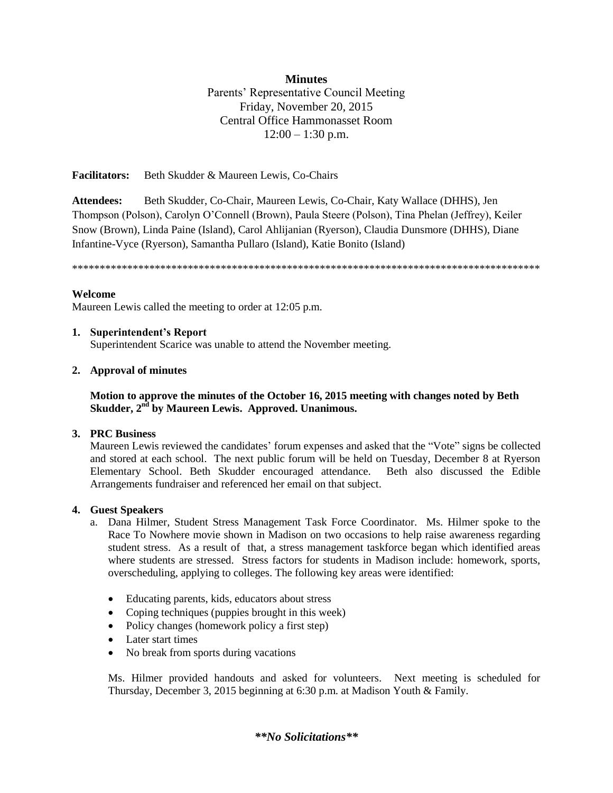### **Minutes**

Parents' Representative Council Meeting Friday, November 20, 2015 Central Office Hammonasset Room  $12:00 - 1:30$  p.m.

**Facilitators:** Beth Skudder & Maureen Lewis, Co-Chairs

**Attendees:** Beth Skudder, Co-Chair, Maureen Lewis, Co-Chair, Katy Wallace (DHHS), Jen Thompson (Polson), Carolyn O'Connell (Brown), Paula Steere (Polson), Tina Phelan (Jeffrey), Keiler Snow (Brown), Linda Paine (Island), Carol Ahlijanian (Ryerson), Claudia Dunsmore (DHHS), Diane Infantine-Vyce (Ryerson), Samantha Pullaro (Island), Katie Bonito (Island)

\*\*\*\*\*\*\*\*\*\*\*\*\*\*\*\*\*\*\*\*\*\*\*\*\*\*\*\*\*\*\*\*\*\*\*\*\*\*\*\*\*\*\*\*\*\*\*\*\*\*\*\*\*\*\*\*\*\*\*\*\*\*\*\*\*\*\*\*\*\*\*\*\*\*\*\*\*\*\*\*\*\*\*\*\*

### **Welcome**

Maureen Lewis called the meeting to order at 12:05 p.m.

### **1. Superintendent's Report**

Superintendent Scarice was unable to attend the November meeting.

### **2. Approval of minutes**

### **Motion to approve the minutes of the October 16, 2015 meeting with changes noted by Beth Skudder, 2 nd by Maureen Lewis. Approved. Unanimous.**

### **3. PRC Business**

Maureen Lewis reviewed the candidates' forum expenses and asked that the "Vote" signs be collected and stored at each school. The next public forum will be held on Tuesday, December 8 at Ryerson Elementary School. Beth Skudder encouraged attendance.Beth also discussed the Edible Arrangements fundraiser and referenced her email on that subject.

### **4. Guest Speakers**

- a. Dana Hilmer, Student Stress Management Task Force Coordinator. Ms. Hilmer spoke to the Race To Nowhere movie shown in Madison on two occasions to help raise awareness regarding student stress. As a result of that, a stress management taskforce began which identified areas where students are stressed. Stress factors for students in Madison include: homework, sports, overscheduling, applying to colleges. The following key areas were identified:
	- Educating parents, kids, educators about stress
	- Coping techniques (puppies brought in this week)
	- Policy changes (homework policy a first step)
	- Later start times
	- No break from sports during vacations

Ms. Hilmer provided handouts and asked for volunteers. Next meeting is scheduled for Thursday, December 3, 2015 beginning at 6:30 p.m. at Madison Youth & Family.

*\*\*No Solicitations\*\**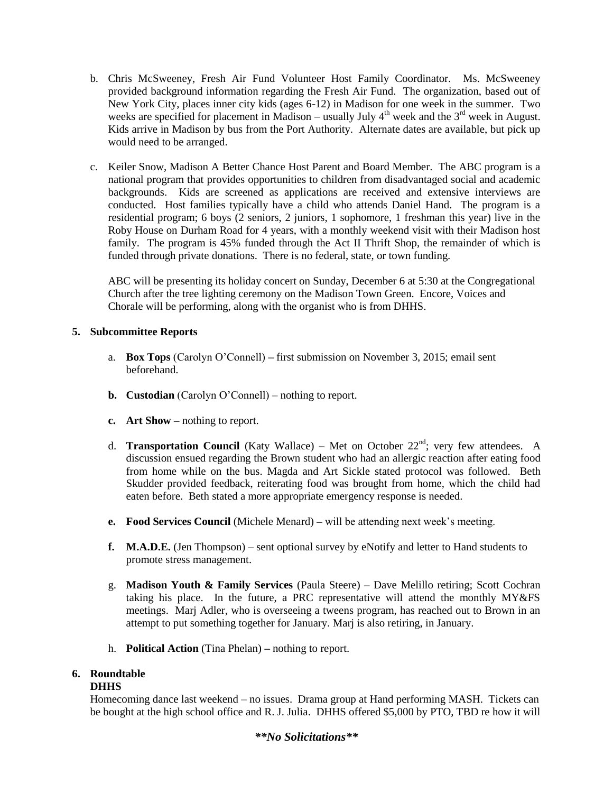- b. Chris McSweeney, Fresh Air Fund Volunteer Host Family Coordinator. Ms. McSweeney provided background information regarding the Fresh Air Fund. The organization, based out of New York City, places inner city kids (ages 6-12) in Madison for one week in the summer. Two weeks are specified for placement in Madison – usually July  $4<sup>th</sup>$  week and the  $3<sup>rd</sup>$  week in August. Kids arrive in Madison by bus from the Port Authority. Alternate dates are available, but pick up would need to be arranged.
- c. Keiler Snow, Madison A Better Chance Host Parent and Board Member. The ABC program is a national program that provides opportunities to children from disadvantaged social and academic backgrounds. Kids are screened as applications are received and extensive interviews are conducted. Host families typically have a child who attends Daniel Hand. The program is a residential program; 6 boys (2 seniors, 2 juniors, 1 sophomore, 1 freshman this year) live in the Roby House on Durham Road for 4 years, with a monthly weekend visit with their Madison host family. The program is 45% funded through the Act II Thrift Shop, the remainder of which is funded through private donations. There is no federal, state, or town funding.

ABC will be presenting its holiday concert on Sunday, December 6 at 5:30 at the Congregational Church after the tree lighting ceremony on the Madison Town Green. Encore, Voices and Chorale will be performing, along with the organist who is from DHHS.

### **5. Subcommittee Reports**

- a. **Box Tops** (Carolyn O'Connell) **–** first submission on November 3, 2015; email sent beforehand.
- **b. Custodian** (Carolyn O'Connell) nothing to report.
- **c. Art Show –** nothing to report.
- d. **Transportation Council** (Katy Wallace) Met on October 22<sup>nd</sup>; very few attendees. A discussion ensued regarding the Brown student who had an allergic reaction after eating food from home while on the bus. Magda and Art Sickle stated protocol was followed. Beth Skudder provided feedback, reiterating food was brought from home, which the child had eaten before. Beth stated a more appropriate emergency response is needed.
- **e. Food Services Council** (Michele Menard) **–** will be attending next week's meeting.
- **f. M.A.D.E.** (Jen Thompson) sent optional survey by eNotify and letter to Hand students to promote stress management.
- g. **Madison Youth & Family Services** (Paula Steere) Dave Melillo retiring; Scott Cochran taking his place. In the future, a PRC representative will attend the monthly MY&FS meetings. Marj Adler, who is overseeing a tweens program, has reached out to Brown in an attempt to put something together for January. Marj is also retiring, in January.
- h. **Political Action** (Tina Phelan) **–** nothing to report.

# **6. Roundtable**

# **DHHS**

Homecoming dance last weekend – no issues. Drama group at Hand performing MASH. Tickets can be bought at the high school office and R. J. Julia. DHHS offered \$5,000 by PTO, TBD re how it will

*\*\*No Solicitations\*\**